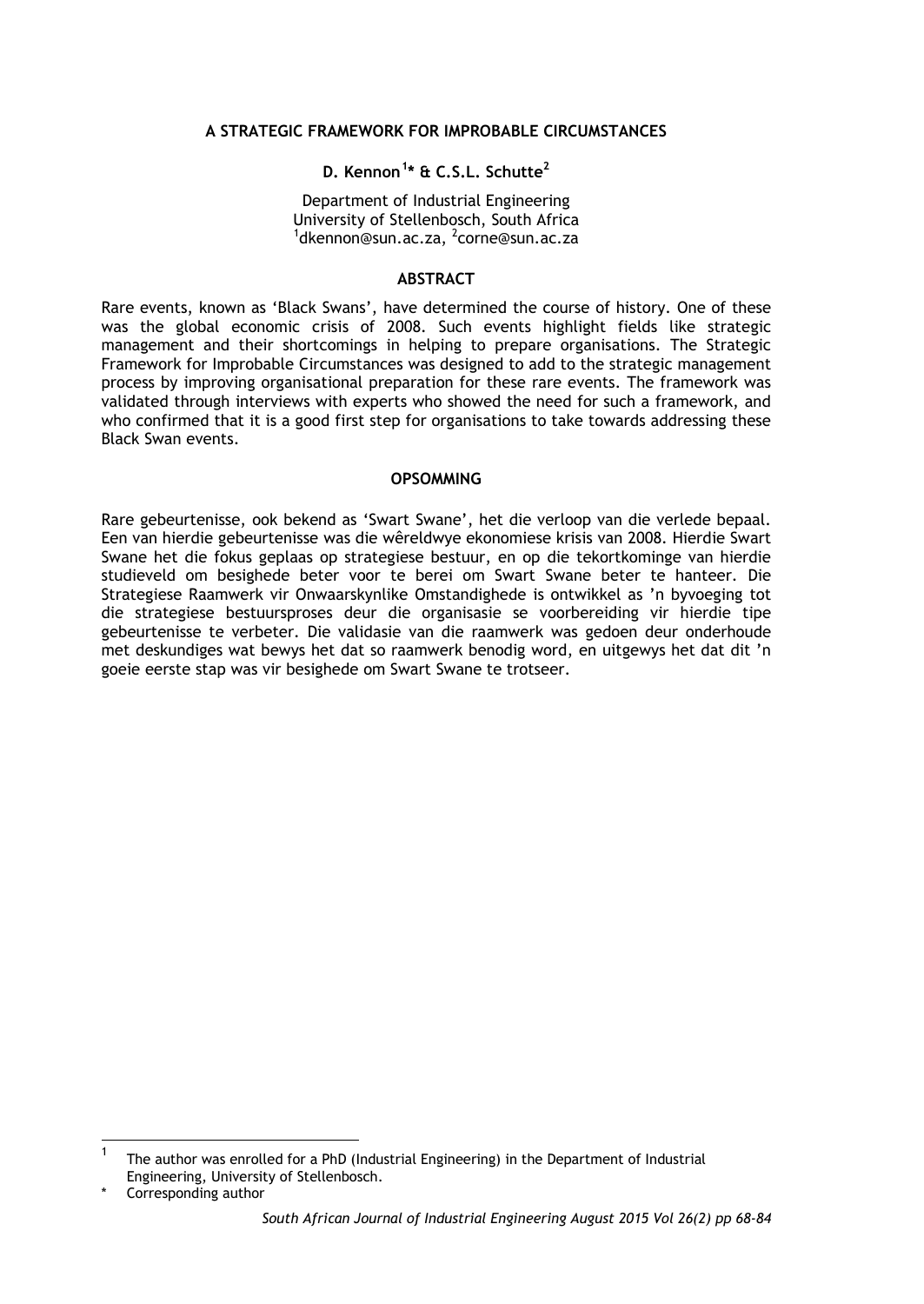### **A STRATEGIC FRAMEWORK FOR IMPROBABLE CIRCUMSTANCES**

# **D. Kennon[1](#page-0-0) \* & C.S.L. Schutte2**

Department of Industrial Engineering University of Stellenbosch, South Africa <sup>1</sup>dkennon@sun.ac.za, <sup>2</sup>corne@sun.ac.za

## **ABSTRACT**

Rare events, known as 'Black Swans', have determined the course of history. One of these was the global economic crisis of 2008. Such events highlight fields like strategic management and their shortcomings in helping to prepare organisations. The Strategic Framework for Improbable Circumstances was designed to add to the strategic management process by improving organisational preparation for these rare events. The framework was validated through interviews with experts who showed the need for such a framework, and who confirmed that it is a good first step for organisations to take towards addressing these Black Swan events.

#### **OPSOMMING**

Rare gebeurtenisse, ook bekend as 'Swart Swane', het die verloop van die verlede bepaal. Een van hierdie gebeurtenisse was die wêreldwye ekonomiese krisis van 2008. Hierdie Swart Swane het die fokus geplaas op strategiese bestuur, en op die tekortkominge van hierdie studieveld om besighede beter voor te berei om Swart Swane beter te hanteer. Die Strategiese Raamwerk vir Onwaarskynlike Omstandighede is ontwikkel as 'n byvoeging tot die strategiese bestuursproses deur die organisasie se voorbereiding vir hierdie tipe gebeurtenisse te verbeter. Die validasie van die raamwerk was gedoen deur onderhoude met deskundiges wat bewys het dat so raamwerk benodig word, en uitgewys het dat dit 'n goeie eerste stap was vir besighede om Swart Swane te trotseer.

<span id="page-0-0"></span> <sup>1</sup> The author was enrolled for a PhD (Industrial Engineering) in the Department of Industrial Engineering, University of Stellenbosch.

Corresponding author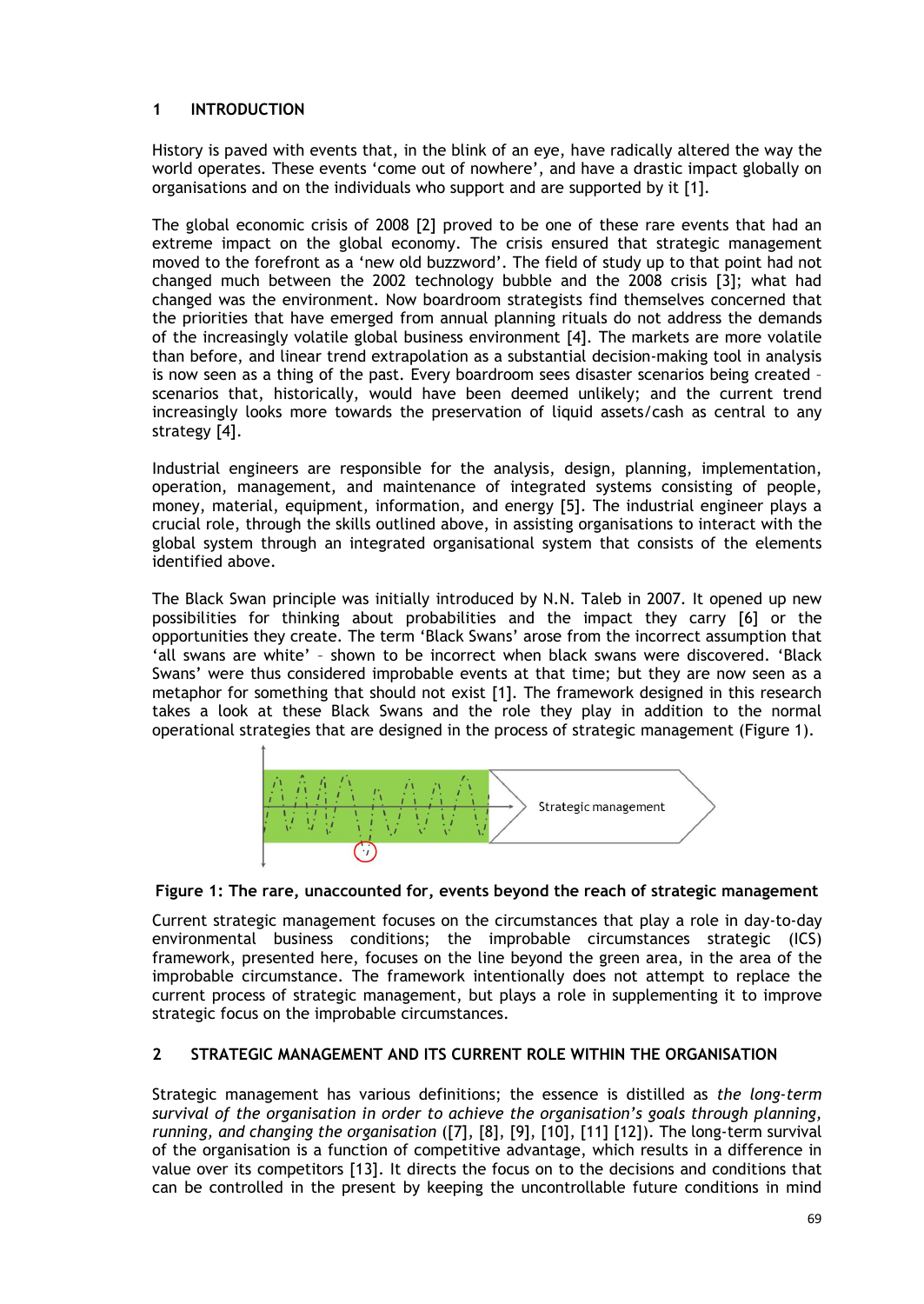# **1 INTRODUCTION**

History is paved with events that, in the blink of an eye, have radically altered the way the world operates. These events 'come out of nowhere', and have a drastic impact globally on organisations and on the individuals who support and are supported by it [1].

The global economic crisis of 2008 [2] proved to be one of these rare events that had an extreme impact on the global economy. The crisis ensured that strategic management moved to the forefront as a 'new old buzzword'. The field of study up to that point had not changed much between the 2002 technology bubble and the 2008 crisis [3]; what had changed was the environment. Now boardroom strategists find themselves concerned that the priorities that have emerged from annual planning rituals do not address the demands of the increasingly volatile global business environment [4]. The markets are more volatile than before, and linear trend extrapolation as a substantial decision-making tool in analysis is now seen as a thing of the past. Every boardroom sees disaster scenarios being created – scenarios that, historically, would have been deemed unlikely; and the current trend increasingly looks more towards the preservation of liquid assets/cash as central to any strategy [4].

Industrial engineers are responsible for the analysis, design, planning, implementation, operation, management, and maintenance of integrated systems consisting of people, money, material, equipment, information, and energy [5]. The industrial engineer plays a crucial role, through the skills outlined above, in assisting organisations to interact with the global system through an integrated organisational system that consists of the elements identified above.

The Black Swan principle was initially introduced by N.N. Taleb in 2007. It opened up new possibilities for thinking about probabilities and the impact they carry [6] or the opportunities they create. The term 'Black Swans' arose from the incorrect assumption that 'all swans are white' – shown to be incorrect when black swans were discovered. 'Black Swans' were thus considered improbable events at that time; but they are now seen as a metaphor for something that should not exist [1]. The framework designed in this research takes a look at these Black Swans and the role they play in addition to the normal operational strategies that are designed in the process of strategic management [\(Figure 1\)](#page-1-0).



### <span id="page-1-0"></span>**Figure 1: The rare, unaccounted for, events beyond the reach of strategic management**

Current strategic management focuses on the circumstances that play a role in day-to-day environmental business conditions; the improbable circumstances strategic (ICS) framework, presented here, focuses on the line beyond the green area, in the area of the improbable circumstance. The framework intentionally does not attempt to replace the current process of strategic management, but plays a role in supplementing it to improve strategic focus on the improbable circumstances.

# **2 STRATEGIC MANAGEMENT AND ITS CURRENT ROLE WITHIN THE ORGANISATION**

Strategic management has various definitions; the essence is distilled as *the long-term survival of the organisation in order to achieve the organisation's goals through planning, running, and changing the organisation* ([7], [8], [9], [10], [11] [12]). The long-term survival of the organisation is a function of competitive advantage, which results in a difference in value over its competitors [13]. It directs the focus on to the decisions and conditions that can be controlled in the present by keeping the uncontrollable future conditions in mind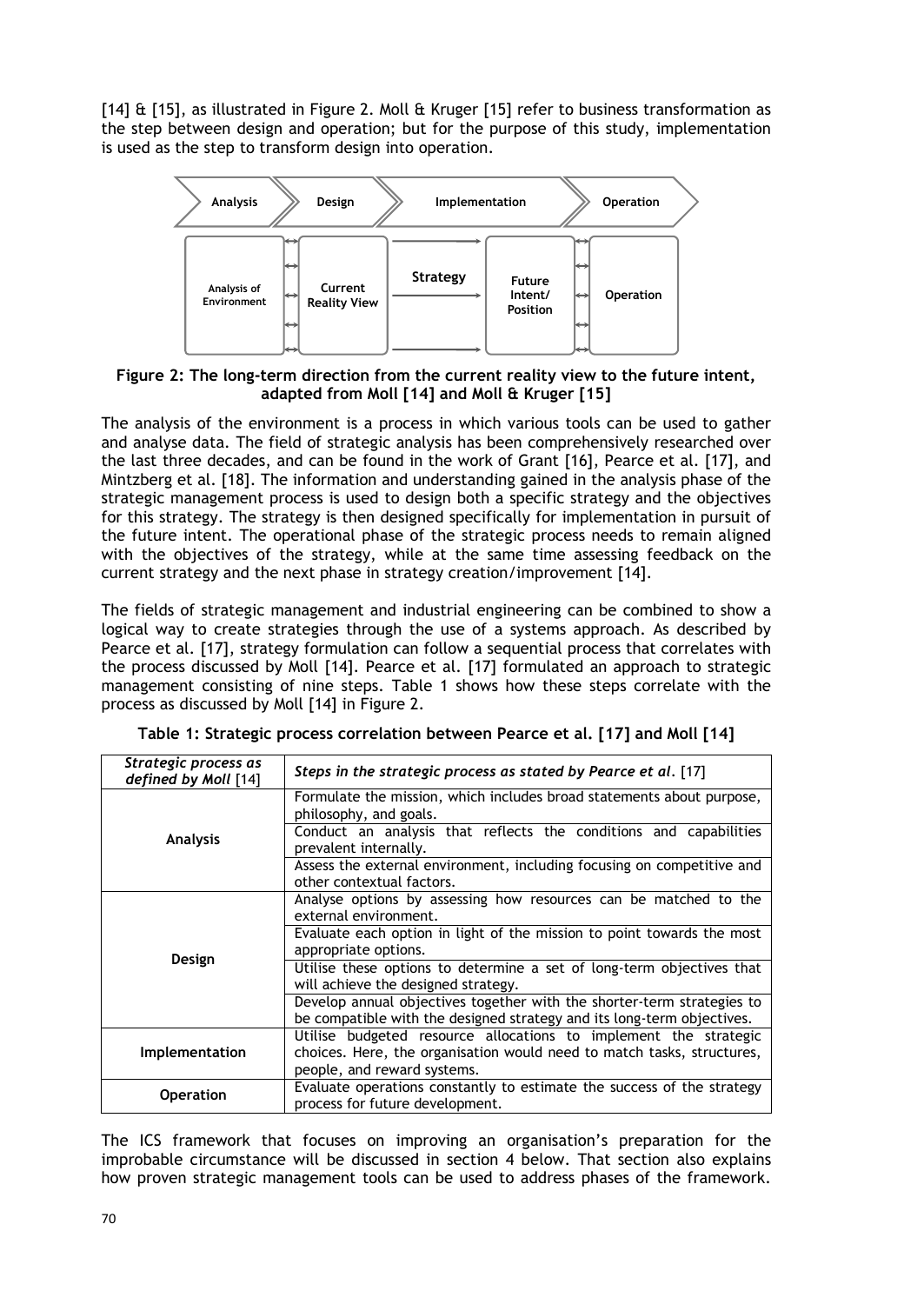[14] & [15], as illustrated in [Figure 2.](#page-2-0) Moll & Kruger [15] refer to business transformation as the step between design and operation; but for the purpose of this study, implementation is used as the step to transform design into operation.



<span id="page-2-0"></span>**Figure 2: The long-term direction from the current reality view to the future intent, adapted from Moll [14] and Moll & Kruger [15]**

The analysis of the environment is a process in which various tools can be used to gather and analyse data. The field of strategic analysis has been comprehensively researched over the last three decades, and can be found in the work of Grant [16], Pearce et al. [17], and Mintzberg et al. [18]. The information and understanding gained in the analysis phase of the strategic management process is used to design both a specific strategy and the objectives for this strategy. The strategy is then designed specifically for implementation in pursuit of the future intent. The operational phase of the strategic process needs to remain aligned with the objectives of the strategy, while at the same time assessing feedback on the current strategy and the next phase in strategy creation/improvement [14].

The fields of strategic management and industrial engineering can be combined to show a logical way to create strategies through the use of a systems approach. As described by Pearce et al. [17], strategy formulation can follow a sequential process that correlates with the process discussed by Moll [14]. Pearce et al. [17] formulated an approach to strategic management consisting of nine steps. [Table 1](#page-2-1) shows how these steps correlate with the process as discussed by Moll [14] in [Figure 2.](#page-2-0)

<span id="page-2-1"></span>

| Strategic process as<br>defined by Moll [14] | Steps in the strategic process as stated by Pearce et al. [17]                                                                                   |
|----------------------------------------------|--------------------------------------------------------------------------------------------------------------------------------------------------|
|                                              | Formulate the mission, which includes broad statements about purpose,<br>philosophy, and goals.                                                  |
| <b>Analysis</b>                              | Conduct an analysis that reflects the conditions and capabilities<br>prevalent internally.                                                       |
|                                              | Assess the external environment, including focusing on competitive and<br>other contextual factors.                                              |
|                                              | Analyse options by assessing how resources can be matched to the<br>external environment.                                                        |
|                                              | Evaluate each option in light of the mission to point towards the most<br>appropriate options.                                                   |
| Design                                       | Utilise these options to determine a set of long-term objectives that<br>will achieve the designed strategy.                                     |
|                                              | Develop annual objectives together with the shorter-term strategies to<br>be compatible with the designed strategy and its long-term objectives. |
| Implementation                               | Utilise budgeted resource allocations to implement the strategic<br>choices. Here, the organisation would need to match tasks, structures,       |
|                                              | people, and reward systems.                                                                                                                      |
| <b>Operation</b>                             | Evaluate operations constantly to estimate the success of the strategy<br>process for future development.                                        |

**Table 1: Strategic process correlation between Pearce et al. [17] and Moll [14]**

The ICS framework that focuses on improving an organisation's preparation for the improbable circumstance will be discussed in section [4](#page-6-0) below. That section also explains how proven strategic management tools can be used to address phases of the framework.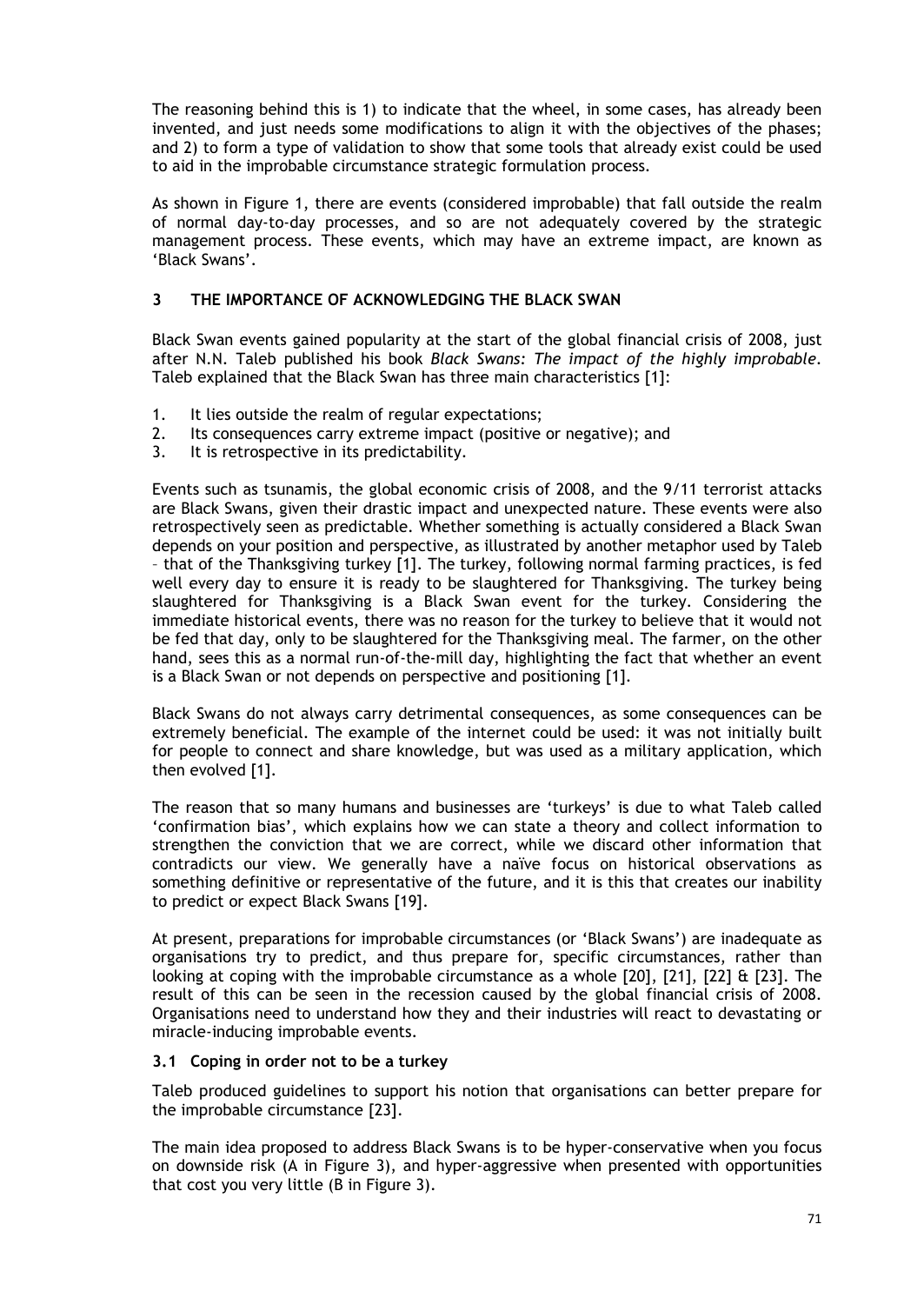The reasoning behind this is 1) to indicate that the wheel, in some cases, has already been invented, and just needs some modifications to align it with the objectives of the phases; and 2) to form a type of validation to show that some tools that already exist could be used to aid in the improbable circumstance strategic formulation process.

As shown in [Figure 1,](#page-1-0) there are events (considered improbable) that fall outside the realm of normal day-to-day processes, and so are not adequately covered by the strategic management process. These events, which may have an extreme impact, are known as 'Black Swans'.

## **3 THE IMPORTANCE OF ACKNOWLEDGING THE BLACK SWAN**

Black Swan events gained popularity at the start of the global financial crisis of 2008, just after N.N. Taleb published his book *Black Swans: The impact of the highly improbable*. Taleb explained that the Black Swan has three main characteristics [1]:

- 1. It lies outside the realm of regular expectations;<br>2. Its consequences carry extreme impact (positive)
- Its consequences carry extreme impact (positive or negative); and
- 3. It is retrospective in its predictability.

Events such as tsunamis, the global economic crisis of 2008, and the 9/11 terrorist attacks are Black Swans, given their drastic impact and unexpected nature. These events were also retrospectively seen as predictable. Whether something is actually considered a Black Swan depends on your position and perspective, as illustrated by another metaphor used by Taleb – that of the Thanksgiving turkey [1]. The turkey, following normal farming practices, is fed well every day to ensure it is ready to be slaughtered for Thanksgiving. The turkey being slaughtered for Thanksgiving is a Black Swan event for the turkey. Considering the immediate historical events, there was no reason for the turkey to believe that it would not be fed that day, only to be slaughtered for the Thanksgiving meal. The farmer, on the other hand, sees this as a normal run-of-the-mill day, highlighting the fact that whether an event is a Black Swan or not depends on perspective and positioning [1].

Black Swans do not always carry detrimental consequences, as some consequences can be extremely beneficial. The example of the internet could be used: it was not initially built for people to connect and share knowledge, but was used as a military application, which then evolved [1].

The reason that so many humans and businesses are 'turkeys' is due to what Taleb called 'confirmation bias', which explains how we can state a theory and collect information to strengthen the conviction that we are correct, while we discard other information that contradicts our view. We generally have a naïve focus on historical observations as something definitive or representative of the future, and it is this that creates our inability to predict or expect Black Swans [19].

At present, preparations for improbable circumstances (or 'Black Swans') are inadequate as organisations try to predict, and thus prepare for, specific circumstances, rather than looking at coping with the improbable circumstance as a whole [20], [21], [22] & [23]. The result of this can be seen in the recession caused by the global financial crisis of 2008. Organisations need to understand how they and their industries will react to devastating or miracle-inducing improbable events.

### <span id="page-3-0"></span>**3.1 Coping in order not to be a turkey**

Taleb produced guidelines to support his notion that organisations can better prepare for the improbable circumstance [23].

The main idea proposed to address Black Swans is to be hyper-conservative when you focus on downside risk (A in [Figure 3\)](#page-4-0), and hyper-aggressive when presented with opportunities that cost you very little (B in [Figure 3\)](#page-4-0).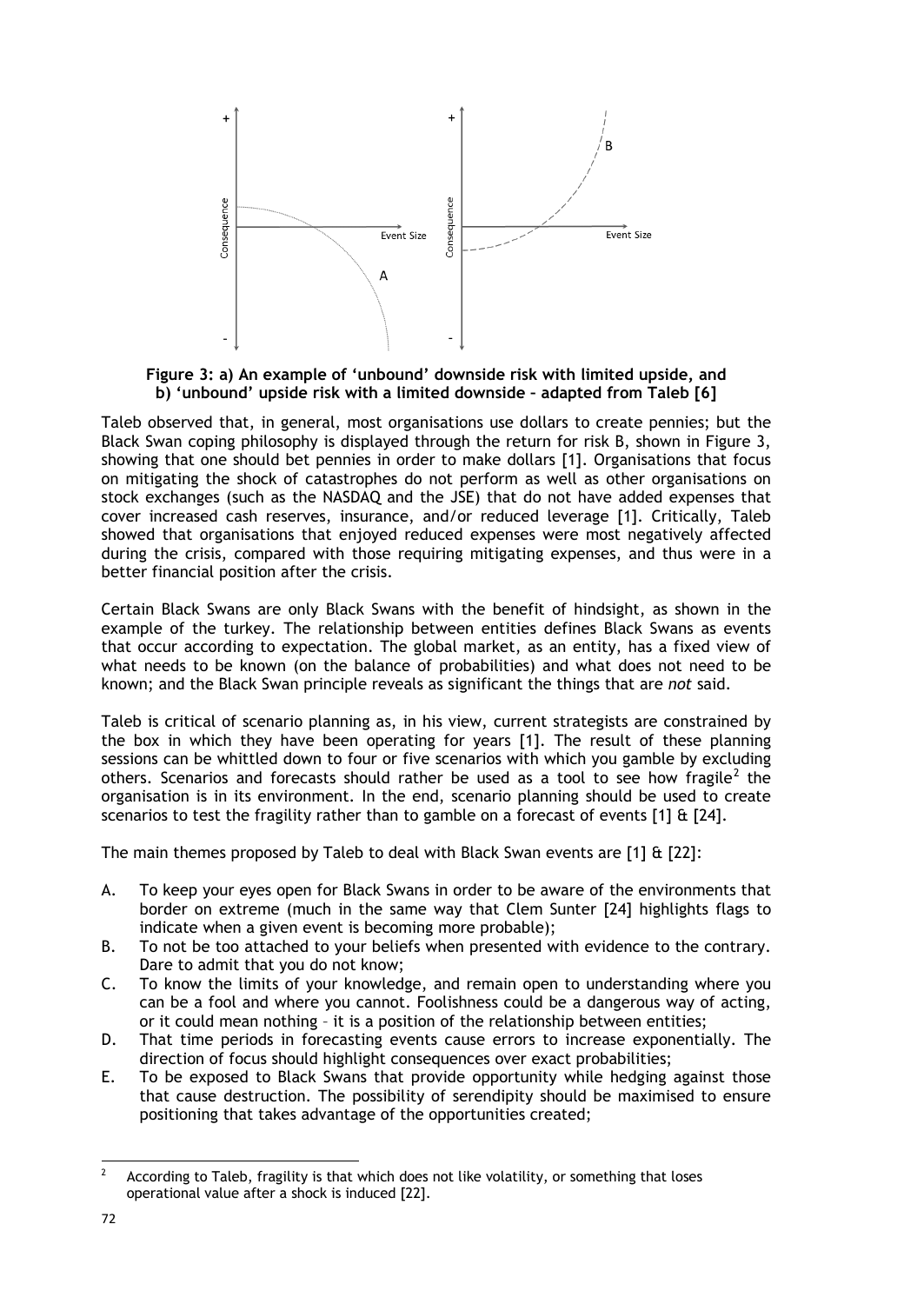

<span id="page-4-0"></span>**Figure 3: a) An example of 'unbound' downside risk with limited upside, and b) 'unbound' upside risk with a limited downside – adapted from Taleb [6]**

Taleb observed that, in general, most organisations use dollars to create pennies; but the Black Swan coping philosophy is displayed through the return for risk B, shown in [Figure 3,](#page-4-0) showing that one should bet pennies in order to make dollars [1]. Organisations that focus on mitigating the shock of catastrophes do not perform as well as other organisations on stock exchanges (such as the NASDAQ and the JSE) that do not have added expenses that cover increased cash reserves, insurance, and/or reduced leverage [1]. Critically, Taleb showed that organisations that enjoyed reduced expenses were most negatively affected during the crisis, compared with those requiring mitigating expenses, and thus were in a better financial position after the crisis.

Certain Black Swans are only Black Swans with the benefit of hindsight, as shown in the example of the turkey. The relationship between entities defines Black Swans as events that occur according to expectation. The global market, as an entity, has a fixed view of what needs to be known (on the balance of probabilities) and what does not need to be known; and the Black Swan principle reveals as significant the things that are *not* said.

Taleb is critical of scenario planning as, in his view, current strategists are constrained by the box in which they have been operating for years [1]. The result of these planning sessions can be whittled down to four or five scenarios with which you gamble by excluding others. Scenarios and forecasts should rather be used as a tool to see how fragile<sup>[2](#page-4-1)</sup> the organisation is in its environment. In the end, scenario planning should be used to create scenarios to test the fragility rather than to gamble on a forecast of events  $[1]$  &  $[24]$ .

The main themes proposed by Taleb to deal with Black Swan events are [1] & [22]:

- A. To keep your eyes open for Black Swans in order to be aware of the environments that border on extreme (much in the same way that Clem Sunter [24] highlights flags to indicate when a given event is becoming more probable);
- B. To not be too attached to your beliefs when presented with evidence to the contrary. Dare to admit that you do not know;
- C. To know the limits of your knowledge, and remain open to understanding where you can be a fool and where you cannot. Foolishness could be a dangerous way of acting, or it could mean nothing – it is a position of the relationship between entities;
- D. That time periods in forecasting events cause errors to increase exponentially. The direction of focus should highlight consequences over exact probabilities;
- E. To be exposed to Black Swans that provide opportunity while hedging against those that cause destruction. The possibility of serendipity should be maximised to ensure positioning that takes advantage of the opportunities created;

<span id="page-4-1"></span> $2^2$  According to Taleb, fragility is that which does not like volatility, or something that loses operational value after a shock is induced [22].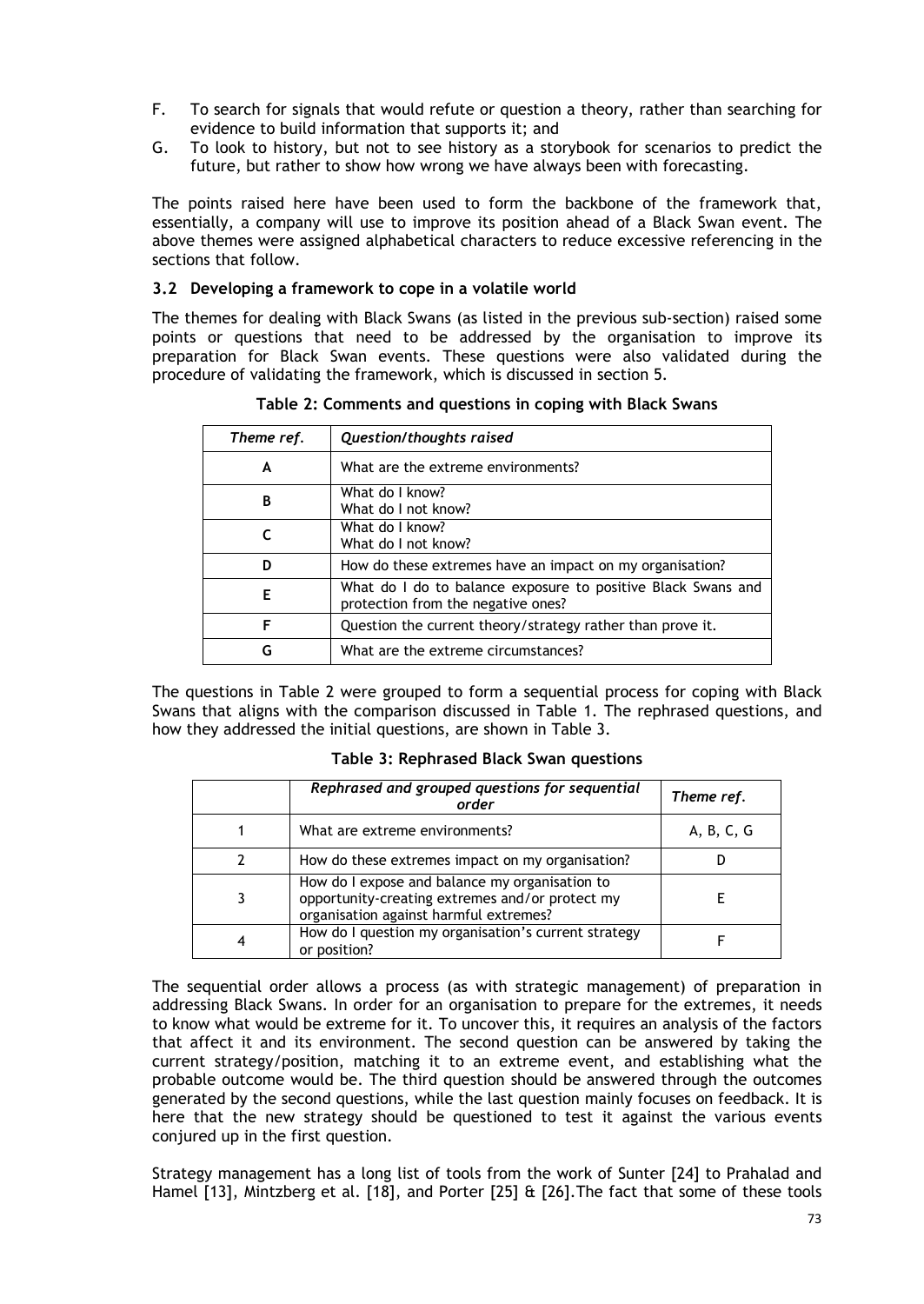- F. To search for signals that would refute or question a theory, rather than searching for evidence to build information that supports it; and
- G. To look to history, but not to see history as a storybook for scenarios to predict the future, but rather to show how wrong we have always been with forecasting.

The points raised here have been used to form the backbone of the framework that, essentially, a company will use to improve its position ahead of a Black Swan event. The above themes were assigned alphabetical characters to reduce excessive referencing in the sections that follow.

#### **3.2 Developing a framework to cope in a volatile world**

The themes for dealing with Black Swans (as listed in the previous sub-section) raised some points or questions that need to be addressed by the organisation to improve its preparation for Black Swan events. These questions were also validated during the procedure of validating the framework, which is discussed in section [5.](#page-13-0)

| Theme ref. | Question/thoughts raised                                                                           |
|------------|----------------------------------------------------------------------------------------------------|
| A          | What are the extreme environments?                                                                 |
| В          | What do I know?<br>What do I not know?                                                             |
|            | What do I know?<br>What do I not know?                                                             |
| D          | How do these extremes have an impact on my organisation?                                           |
| Е          | What do I do to balance exposure to positive Black Swans and<br>protection from the negative ones? |
| F          | Question the current theory/strategy rather than prove it.                                         |
| G          | What are the extreme circumstances?                                                                |

**Table 2: Comments and questions in coping with Black Swans**

<span id="page-5-0"></span>The questions in Table 2 were grouped to form a sequential process for coping with Black Swans that aligns with the comparison discussed in [Table 1.](#page-2-1) The rephrased questions, and how they addressed the initial questions, are shown in [Table 3.](#page-5-0)

| Rephrased and grouped questions for sequential<br>order                                                                                     | Theme ref. |
|---------------------------------------------------------------------------------------------------------------------------------------------|------------|
| What are extreme environments?                                                                                                              | A, B, C, G |
| How do these extremes impact on my organisation?                                                                                            |            |
| How do I expose and balance my organisation to<br>opportunity-creating extremes and/or protect my<br>organisation against harmful extremes? |            |
| How do I question my organisation's current strategy<br>or position?                                                                        |            |

**Table 3: Rephrased Black Swan questions**

The sequential order allows a process (as with strategic management) of preparation in addressing Black Swans. In order for an organisation to prepare for the extremes, it needs to know what would be extreme for it. To uncover this, it requires an analysis of the factors that affect it and its environment. The second question can be answered by taking the current strategy/position, matching it to an extreme event, and establishing what the probable outcome would be. The third question should be answered through the outcomes generated by the second questions, while the last question mainly focuses on feedback. It is here that the new strategy should be questioned to test it against the various events conjured up in the first question.

Strategy management has a long list of tools from the work of Sunter [24] to Prahalad and Hamel [13], Mintzberg et al. [18], and Porter [25] & [26].The fact that some of these tools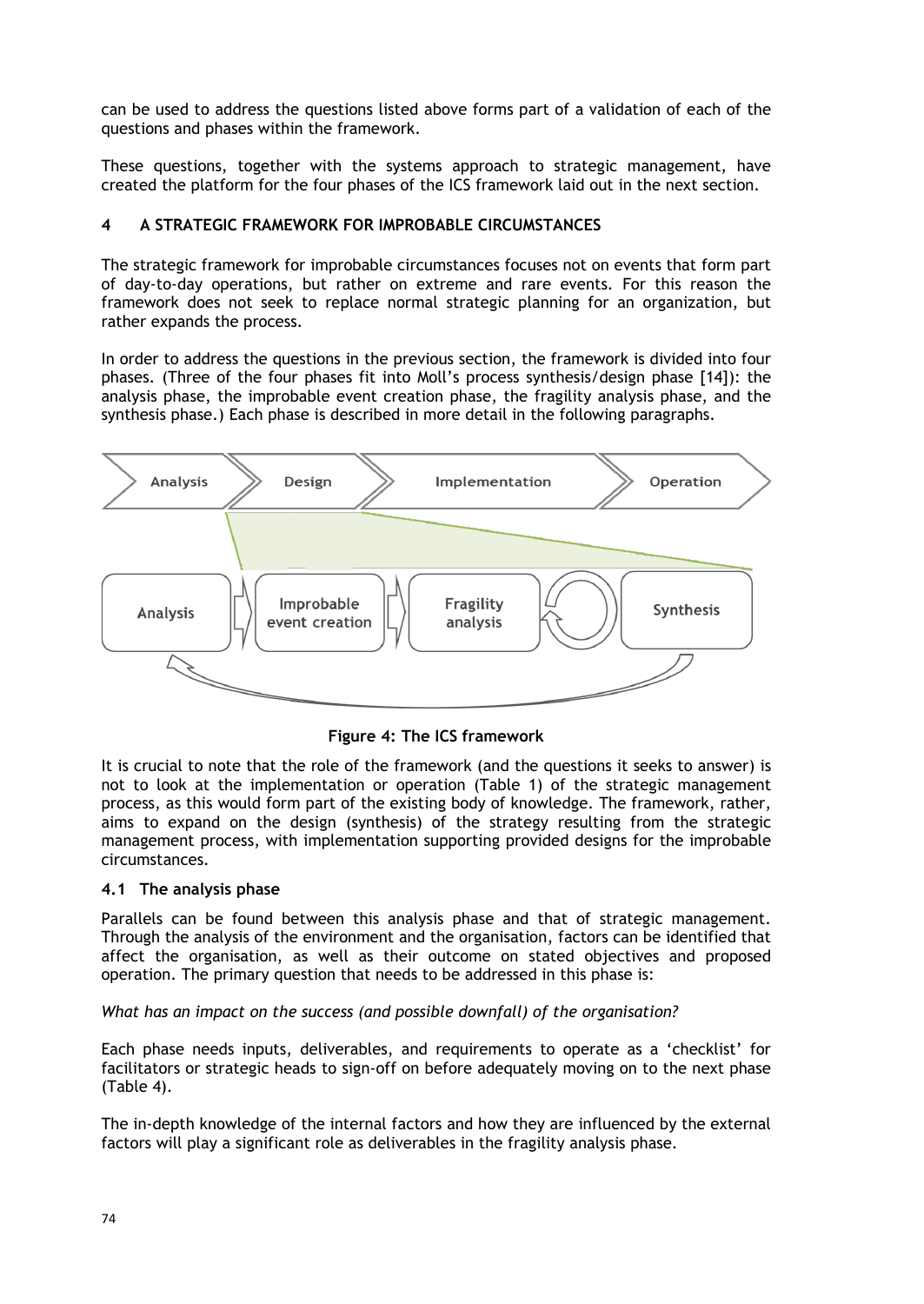can be used to address the questions listed above forms part of a validation of each of the questions and phases within the framework.

These questions, together with the systems approach to strategic management, have created the platform for the four phases of the ICS framework laid out in the next section.

### <span id="page-6-0"></span>**4 A STRATEGIC FRAMEWORK FOR IMPROBABLE CIRCUMSTANCES**

The strategic framework for improbable circumstances focuses not on events that form part of day-to-day operations, but rather on extreme and rare events. For this reason the framework does not seek to replace normal strategic planning for an organization, but rather expands the process.

In order to address the questions in the previous section, the framework is divided into four phases. (Three of the four phases fit into Moll's process synthesis/design phase [14]): the analysis phase, the improbable event creation phase, the fragility analysis phase, and the synthesis phase.) Each phase is described in more detail in the following paragraphs.



**Figure 4: The ICS framework**

It is crucial to note that the role of the framework (and the questions it seeks to answer) is not to look at the implementation or operation [\(Table 1\)](#page-2-1) of the strategic management process, as this would form part of the existing body of knowledge. The framework, rather, aims to expand on the design (synthesis) of the strategy resulting from the strategic management process, with implementation supporting provided designs for the improbable circumstances.

### **4.1 The analysis phase**

Parallels can be found between this analysis phase and that of strategic management. Through the analysis of the environment and the organisation, factors can be identified that affect the organisation, as well as their outcome on stated objectives and proposed operation. The primary question that needs to be addressed in this phase is:

*What has an impact on the success (and possible downfall) of the organisation?*

Each phase needs inputs, deliverables, and requirements to operate as a 'checklist' for facilitators or strategic heads to sign-off on before adequately moving on to the next phase [\(Table 4\)](#page-7-0).

The in-depth knowledge of the internal factors and how they are influenced by the external factors will play a significant role as deliverables in the fragility analysis phase.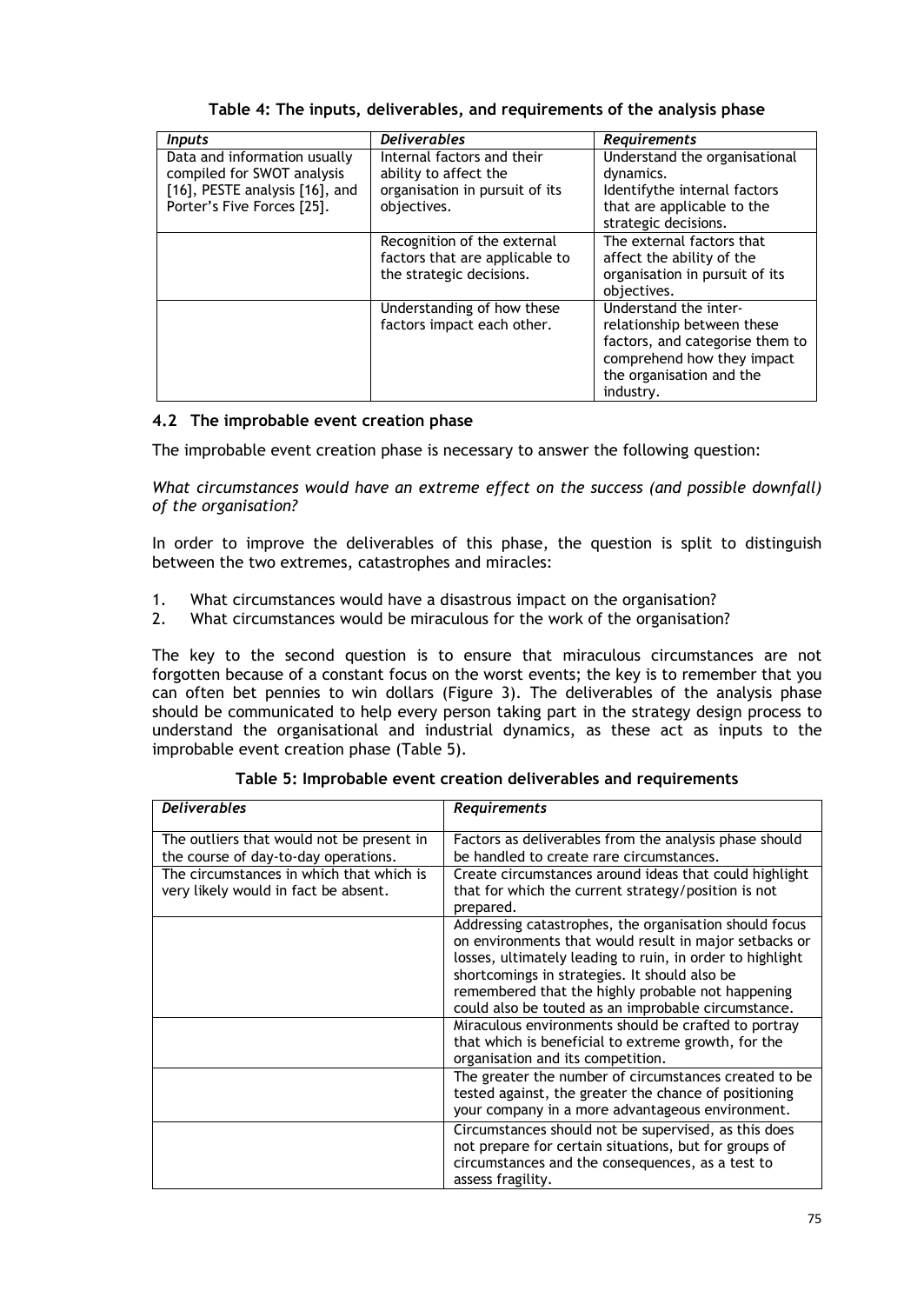<span id="page-7-0"></span>

| <b>Inputs</b>                                                                                                              | <b>Deliverables</b>                                                                                  | Requirements                                                                                                                                                  |
|----------------------------------------------------------------------------------------------------------------------------|------------------------------------------------------------------------------------------------------|---------------------------------------------------------------------------------------------------------------------------------------------------------------|
| Data and information usually<br>compiled for SWOT analysis<br>[16], PESTE analysis [16], and<br>Porter's Five Forces [25]. | Internal factors and their<br>ability to affect the<br>organisation in pursuit of its<br>objectives. | Understand the organisational<br>dynamics.<br>Identifythe internal factors<br>that are applicable to the<br>strategic decisions.                              |
|                                                                                                                            | Recognition of the external<br>factors that are applicable to<br>the strategic decisions.            | The external factors that<br>affect the ability of the<br>organisation in pursuit of its<br>objectives.                                                       |
|                                                                                                                            | Understanding of how these<br>factors impact each other.                                             | Understand the inter-<br>relationship between these<br>factors, and categorise them to<br>comprehend how they impact<br>the organisation and the<br>industry. |

**Table 4: The inputs, deliverables, and requirements of the analysis phase**

## **4.2 The improbable event creation phase**

The improbable event creation phase is necessary to answer the following question:

*What circumstances would have an extreme effect on the success (and possible downfall) of the organisation?*

In order to improve the deliverables of this phase, the question is split to distinguish between the two extremes, catastrophes and miracles:

- 1. What circumstances would have a disastrous impact on the organisation?
- 2. What circumstances would be miraculous for the work of the organisation?

The key to the second question is to ensure that miraculous circumstances are not forgotten because of a constant focus on the worst events; the key is to remember that you can often bet pennies to win dollars [\(Figure 3\)](#page-4-0). The deliverables of the analysis phase should be communicated to help every person taking part in the strategy design process to understand the organisational and industrial dynamics, as these act as inputs to the improbable event creation phase [\(Table 5\)](#page-7-1).

<span id="page-7-1"></span>

| <b>Deliverables</b>                                                               | Requirements                                                                                                                                                                                                                                                                                                                               |
|-----------------------------------------------------------------------------------|--------------------------------------------------------------------------------------------------------------------------------------------------------------------------------------------------------------------------------------------------------------------------------------------------------------------------------------------|
| The outliers that would not be present in<br>the course of day-to-day operations. | Factors as deliverables from the analysis phase should<br>be handled to create rare circumstances.                                                                                                                                                                                                                                         |
| The circumstances in which that which is<br>very likely would in fact be absent.  | Create circumstances around ideas that could highlight<br>that for which the current strategy/position is not<br>prepared.                                                                                                                                                                                                                 |
|                                                                                   | Addressing catastrophes, the organisation should focus<br>on environments that would result in major setbacks or<br>losses, ultimately leading to ruin, in order to highlight<br>shortcomings in strategies. It should also be<br>remembered that the highly probable not happening<br>could also be touted as an improbable circumstance. |
|                                                                                   | Miraculous environments should be crafted to portray<br>that which is beneficial to extreme growth, for the<br>organisation and its competition.                                                                                                                                                                                           |
|                                                                                   | The greater the number of circumstances created to be<br>tested against, the greater the chance of positioning<br>your company in a more advantageous environment.                                                                                                                                                                         |
|                                                                                   | Circumstances should not be supervised, as this does<br>not prepare for certain situations, but for groups of<br>circumstances and the consequences, as a test to<br>assess fragility.                                                                                                                                                     |

**Table 5: Improbable event creation deliverables and requirements**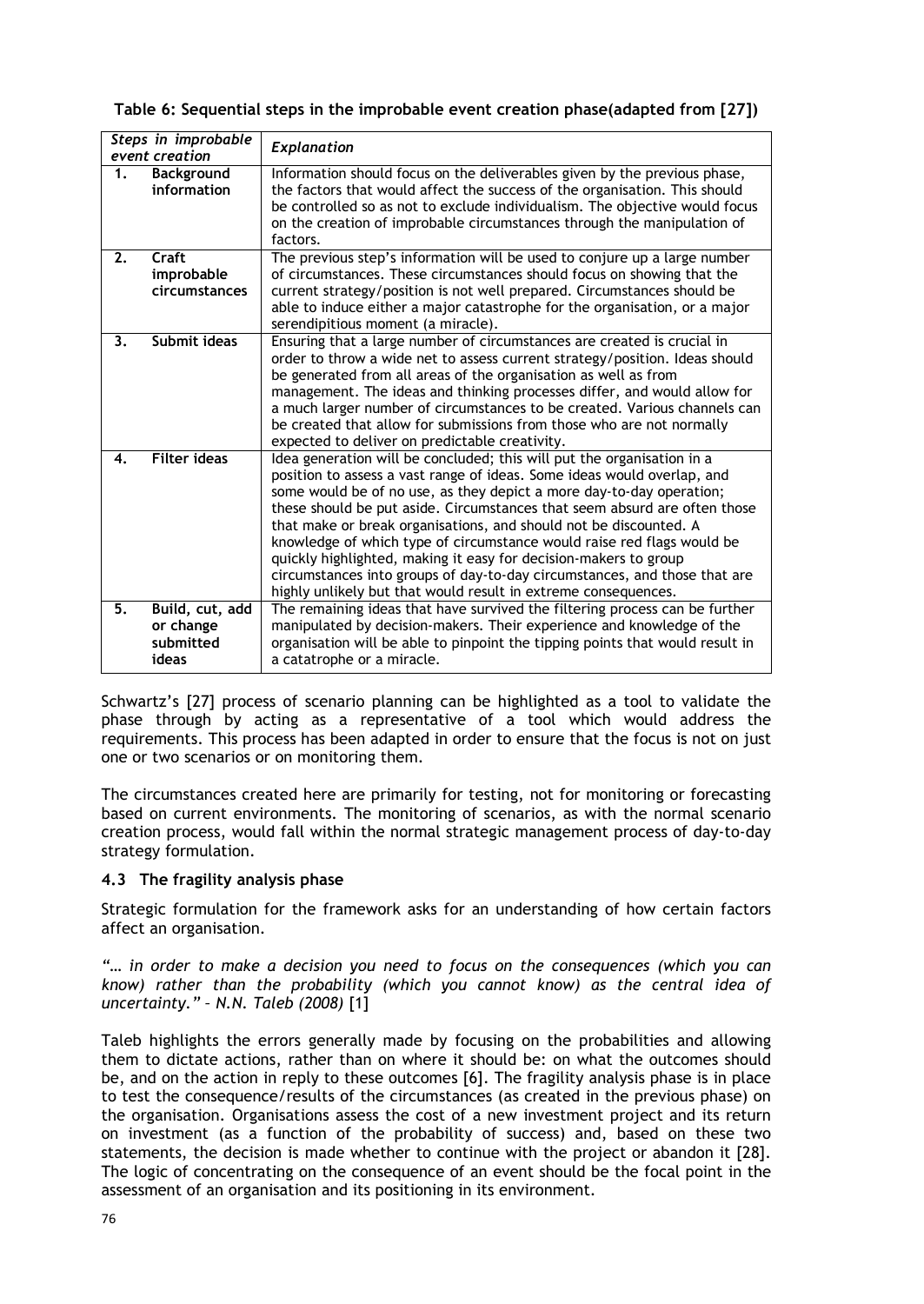# **Table 6: Sequential steps in the improbable event creation phase(adapted from [27])**

|                  | Steps in improbable | Explanation                                                                                                                                            |
|------------------|---------------------|--------------------------------------------------------------------------------------------------------------------------------------------------------|
|                  | event creation      |                                                                                                                                                        |
| $\overline{1}$ . | <b>Background</b>   | Information should focus on the deliverables given by the previous phase,                                                                              |
|                  | information         | the factors that would affect the success of the organisation. This should                                                                             |
|                  |                     | be controlled so as not to exclude individualism. The objective would focus                                                                            |
|                  |                     | on the creation of improbable circumstances through the manipulation of                                                                                |
|                  |                     | factors.                                                                                                                                               |
| 2.               | Craft               | The previous step's information will be used to conjure up a large number                                                                              |
|                  | improbable          | of circumstances. These circumstances should focus on showing that the                                                                                 |
|                  | circumstances       | current strategy/position is not well prepared. Circumstances should be                                                                                |
|                  |                     | able to induce either a major catastrophe for the organisation, or a major                                                                             |
|                  | Submit ideas        | serendipitious moment (a miracle).                                                                                                                     |
| 3.               |                     | Ensuring that a large number of circumstances are created is crucial in<br>order to throw a wide net to assess current strategy/position. Ideas should |
|                  |                     |                                                                                                                                                        |
|                  |                     | be generated from all areas of the organisation as well as from<br>management. The ideas and thinking processes differ, and would allow for            |
|                  |                     | a much larger number of circumstances to be created. Various channels can                                                                              |
|                  |                     | be created that allow for submissions from those who are not normally                                                                                  |
|                  |                     | expected to deliver on predictable creativity.                                                                                                         |
| 4.               | <b>Filter ideas</b> | Idea generation will be concluded; this will put the organisation in a                                                                                 |
|                  |                     | position to assess a vast range of ideas. Some ideas would overlap, and                                                                                |
|                  |                     | some would be of no use, as they depict a more day-to-day operation;                                                                                   |
|                  |                     | these should be put aside. Circumstances that seem absurd are often those                                                                              |
|                  |                     | that make or break organisations, and should not be discounted. A                                                                                      |
|                  |                     | knowledge of which type of circumstance would raise red flags would be                                                                                 |
|                  |                     | quickly highlighted, making it easy for decision-makers to group                                                                                       |
|                  |                     | circumstances into groups of day-to-day circumstances, and those that are                                                                              |
|                  |                     | highly unlikely but that would result in extreme consequences.                                                                                         |
| 5.               | Build, cut, add     | The remaining ideas that have survived the filtering process can be further                                                                            |
|                  | or change           | manipulated by decision-makers. Their experience and knowledge of the                                                                                  |
|                  | submitted           | organisation will be able to pinpoint the tipping points that would result in                                                                          |
|                  | ideas               | a catatrophe or a miracle.                                                                                                                             |

Schwartz's [27] process of scenario planning can be highlighted as a tool to validate the phase through by acting as a representative of a tool which would address the requirements. This process has been adapted in order to ensure that the focus is not on just one or two scenarios or on monitoring them.

The circumstances created here are primarily for testing, not for monitoring or forecasting based on current environments. The monitoring of scenarios, as with the normal scenario creation process, would fall within the normal strategic management process of day-to-day strategy formulation.

# **4.3 The fragility analysis phase**

Strategic formulation for the framework asks for an understanding of how certain factors affect an organisation.

*"… in order to make a decision you need to focus on the consequences (which you can know) rather than the probability (which you cannot know) as the central idea of uncertainty." – N.N. Taleb (2008)* [1]

Taleb highlights the errors generally made by focusing on the probabilities and allowing them to dictate actions, rather than on where it should be: on what the outcomes should be, and on the action in reply to these outcomes [6]. The fragility analysis phase is in place to test the consequence/results of the circumstances (as created in the previous phase) on the organisation. Organisations assess the cost of a new investment project and its return on investment (as a function of the probability of success) and, based on these two statements, the decision is made whether to continue with the project or abandon it [28]. The logic of concentrating on the consequence of an event should be the focal point in the assessment of an organisation and its positioning in its environment.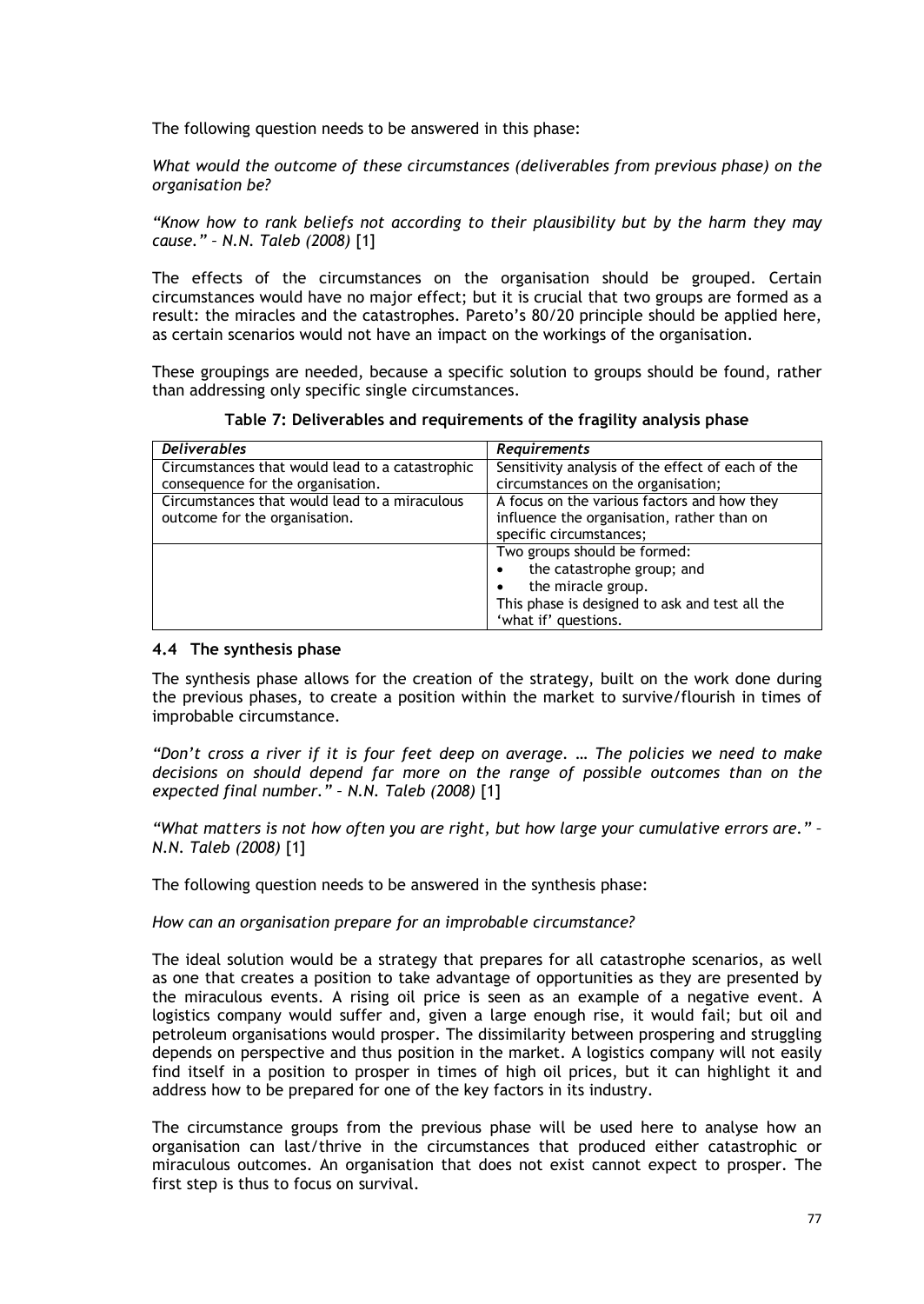The following question needs to be answered in this phase:

*What would the outcome of these circumstances (deliverables from previous phase) on the organisation be?*

*"Know how to rank beliefs not according to their plausibility but by the harm they may cause." – N.N. Taleb (2008)* [1]

The effects of the circumstances on the organisation should be grouped. Certain circumstances would have no major effect; but it is crucial that two groups are formed as a result: the miracles and the catastrophes. Pareto's 80/20 principle should be applied here, as certain scenarios would not have an impact on the workings of the organisation.

These groupings are needed, because a specific solution to groups should be found, rather than addressing only specific single circumstances.

| <b>Deliverables</b>                             | <b>Requirements</b>                               |
|-------------------------------------------------|---------------------------------------------------|
| Circumstances that would lead to a catastrophic | Sensitivity analysis of the effect of each of the |
| consequence for the organisation.               | circumstances on the organisation;                |
| Circumstances that would lead to a miraculous   | A focus on the various factors and how they       |
| outcome for the organisation.                   | influence the organisation, rather than on        |
|                                                 | specific circumstances;                           |
|                                                 | Two groups should be formed:                      |
|                                                 | the catastrophe group; and                        |
|                                                 | the miracle group.                                |
|                                                 | This phase is designed to ask and test all the    |
|                                                 | 'what if' questions.                              |

#### **4.4 The synthesis phase**

The synthesis phase allows for the creation of the strategy, built on the work done during the previous phases, to create a position within the market to survive/flourish in times of improbable circumstance.

*"Don't cross a river if it is four feet deep on average. … The policies we need to make decisions on should depend far more on the range of possible outcomes than on the expected final number." – N.N. Taleb (2008)* [1]

*"What matters is not how often you are right, but how large your cumulative errors are." – N.N. Taleb (2008)* [1]

The following question needs to be answered in the synthesis phase:

*How can an organisation prepare for an improbable circumstance?*

The ideal solution would be a strategy that prepares for all catastrophe scenarios, as well as one that creates a position to take advantage of opportunities as they are presented by the miraculous events. A rising oil price is seen as an example of a negative event. A logistics company would suffer and, given a large enough rise, it would fail; but oil and petroleum organisations would prosper. The dissimilarity between prospering and struggling depends on perspective and thus position in the market. A logistics company will not easily find itself in a position to prosper in times of high oil prices, but it can highlight it and address how to be prepared for one of the key factors in its industry.

The circumstance groups from the previous phase will be used here to analyse how an organisation can last/thrive in the circumstances that produced either catastrophic or miraculous outcomes. An organisation that does not exist cannot expect to prosper. The first step is thus to focus on survival.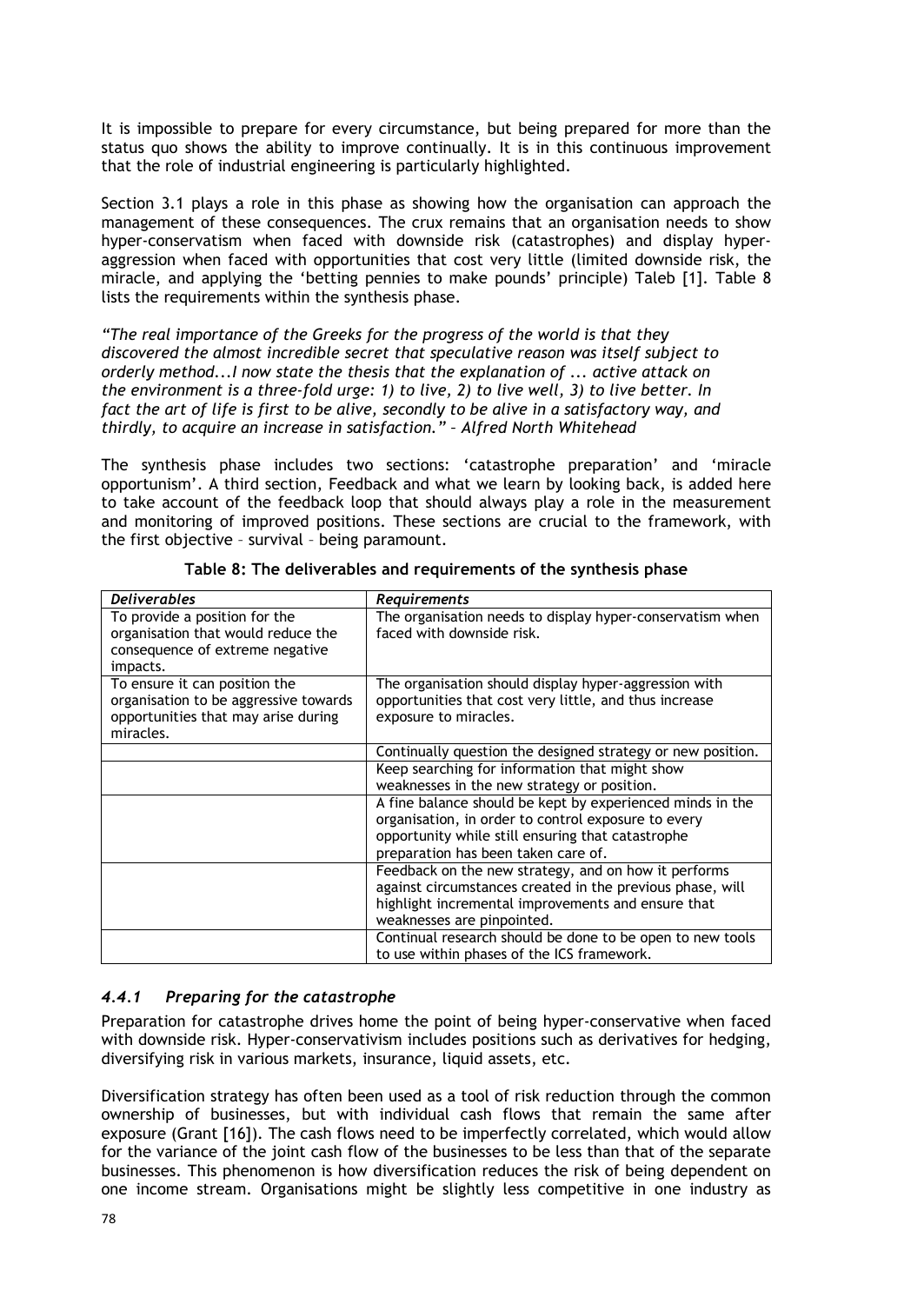It is impossible to prepare for every circumstance, but being prepared for more than the status quo shows the ability to improve continually. It is in this continuous improvement that the role of industrial engineering is particularly highlighted.

Section [3.1](#page-3-0) plays a role in this phase as showing how the organisation can approach the management of these consequences. The crux remains that an organisation needs to show hyper-conservatism when faced with downside risk (catastrophes) and display hyperaggression when faced with opportunities that cost very little (limited downside risk, the miracle, and applying the 'betting pennies to make pounds' principle) Taleb [1]. [Table 8](#page-10-0) lists the requirements within the synthesis phase.

*"The real importance of the Greeks for the progress of the world is that they discovered the almost incredible secret that speculative reason was itself subject to orderly method...I now state the thesis that the explanation of ... active attack on the environment is a three-fold urge: 1) to live, 2) to live well, 3) to live better. In fact the art of life is first to be alive, secondly to be alive in a satisfactory way, and thirdly, to acquire an increase in satisfaction." – Alfred North Whitehead*

The synthesis phase includes two sections: 'catastrophe preparation' and 'miracle opportunism'. A third section, Feedback and what we learn by looking back, is added here to take account of the feedback loop that should always play a role in the measurement and monitoring of improved positions. These sections are crucial to the framework, with the first objective – survival – being paramount.

| <b>Deliverables</b>                                                                                                        | Requirements                                                                                                                                                                                                 |
|----------------------------------------------------------------------------------------------------------------------------|--------------------------------------------------------------------------------------------------------------------------------------------------------------------------------------------------------------|
| To provide a position for the<br>organisation that would reduce the<br>consequence of extreme negative<br>impacts.         | The organisation needs to display hyper-conservatism when<br>faced with downside risk.                                                                                                                       |
| To ensure it can position the<br>organisation to be aggressive towards<br>opportunities that may arise during<br>miracles. | The organisation should display hyper-aggression with<br>opportunities that cost very little, and thus increase<br>exposure to miracles.                                                                     |
|                                                                                                                            | Continually question the designed strategy or new position.                                                                                                                                                  |
|                                                                                                                            | Keep searching for information that might show<br>weaknesses in the new strategy or position.                                                                                                                |
|                                                                                                                            | A fine balance should be kept by experienced minds in the<br>organisation, in order to control exposure to every<br>opportunity while still ensuring that catastrophe<br>preparation has been taken care of. |
|                                                                                                                            | Feedback on the new strategy, and on how it performs<br>against circumstances created in the previous phase, will<br>highlight incremental improvements and ensure that<br>weaknesses are pinpointed.        |
|                                                                                                                            | Continual research should be done to be open to new tools<br>to use within phases of the ICS framework.                                                                                                      |

<span id="page-10-0"></span>**Table 8: The deliverables and requirements of the synthesis phase**

# *4.4.1 Preparing for the catastrophe*

Preparation for catastrophe drives home the point of being hyper-conservative when faced with downside risk. Hyper-conservativism includes positions such as derivatives for hedging, diversifying risk in various markets, insurance, liquid assets, etc.

Diversification strategy has often been used as a tool of risk reduction through the common ownership of businesses, but with individual cash flows that remain the same after exposure (Grant [16]). The cash flows need to be imperfectly correlated, which would allow for the variance of the joint cash flow of the businesses to be less than that of the separate businesses. This phenomenon is how diversification reduces the risk of being dependent on one income stream. Organisations might be slightly less competitive in one industry as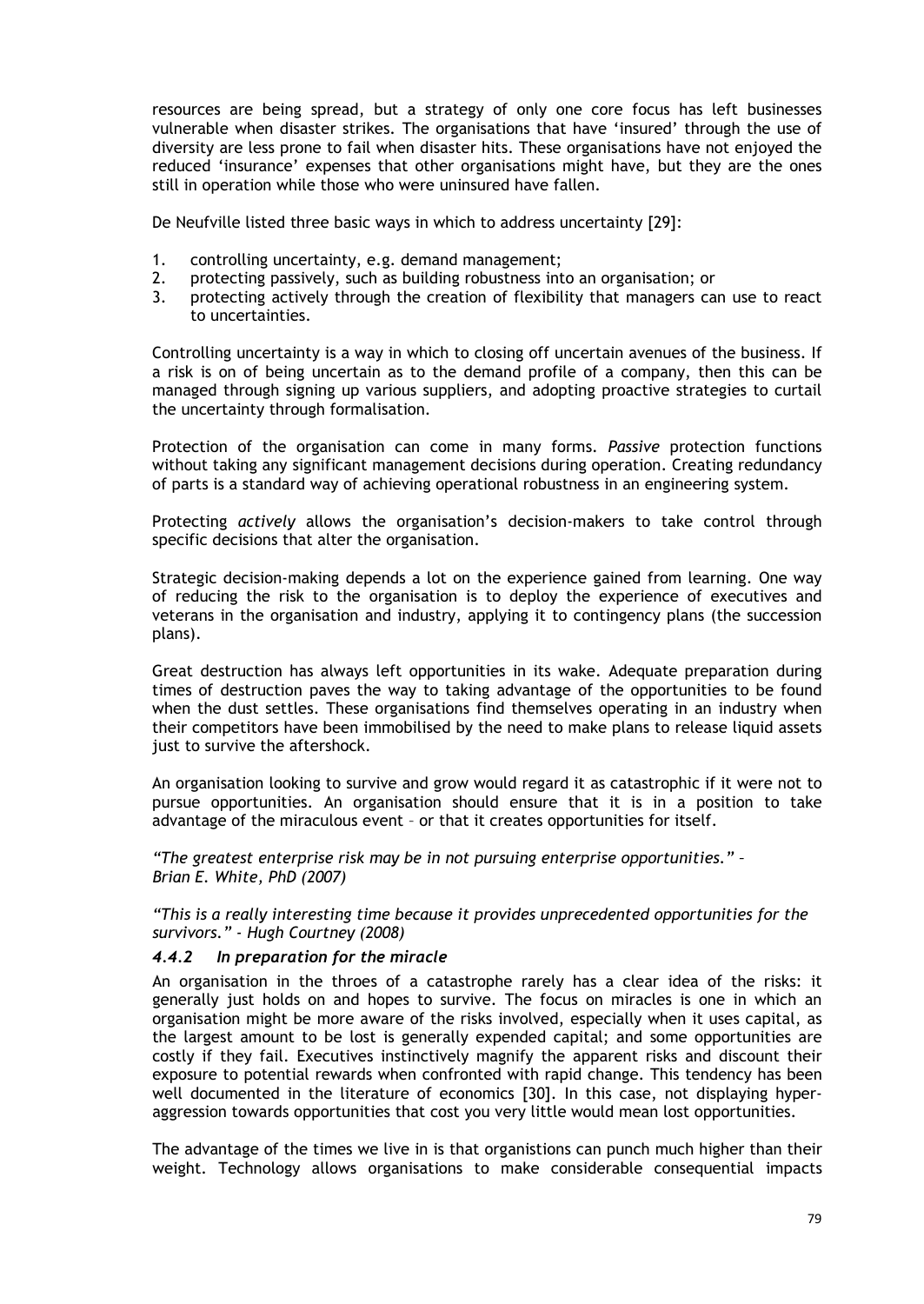resources are being spread, but a strategy of only one core focus has left businesses vulnerable when disaster strikes. The organisations that have 'insured' through the use of diversity are less prone to fail when disaster hits. These organisations have not enjoyed the reduced 'insurance' expenses that other organisations might have, but they are the ones still in operation while those who were uninsured have fallen.

De Neufville listed three basic ways in which to address uncertainty [29]:

- 1. controlling uncertainty, e.g. demand management;
- 2. protecting passively, such as building robustness into an organisation; or
- 3. protecting actively through the creation of flexibility that managers can use to react to uncertainties.

Controlling uncertainty is a way in which to closing off uncertain avenues of the business. If a risk is on of being uncertain as to the demand profile of a company, then this can be managed through signing up various suppliers, and adopting proactive strategies to curtail the uncertainty through formalisation.

Protection of the organisation can come in many forms. *Passive* protection functions without taking any significant management decisions during operation. Creating redundancy of parts is a standard way of achieving operational robustness in an engineering system.

Protecting *actively* allows the organisation's decision-makers to take control through specific decisions that alter the organisation.

Strategic decision-making depends a lot on the experience gained from learning. One way of reducing the risk to the organisation is to deploy the experience of executives and veterans in the organisation and industry, applying it to contingency plans (the succession plans).

Great destruction has always left opportunities in its wake. Adequate preparation during times of destruction paves the way to taking advantage of the opportunities to be found when the dust settles. These organisations find themselves operating in an industry when their competitors have been immobilised by the need to make plans to release liquid assets just to survive the aftershock.

An organisation looking to survive and grow would regard it as catastrophic if it were not to pursue opportunities. An organisation should ensure that it is in a position to take advantage of the miraculous event – or that it creates opportunities for itself.

*"The greatest enterprise risk may be in not pursuing enterprise opportunities." – Brian E. White, PhD (2007)*

*"This is a really interesting time because it provides unprecedented opportunities for the survivors." - Hugh Courtney (2008)*

## *4.4.2 In preparation for the miracle*

An organisation in the throes of a catastrophe rarely has a clear idea of the risks: it generally just holds on and hopes to survive. The focus on miracles is one in which an organisation might be more aware of the risks involved, especially when it uses capital, as the largest amount to be lost is generally expended capital; and some opportunities are costly if they fail. Executives instinctively magnify the apparent risks and discount their exposure to potential rewards when confronted with rapid change. This tendency has been well documented in the literature of economics [30]. In this case, not displaying hyperaggression towards opportunities that cost you very little would mean lost opportunities.

The advantage of the times we live in is that organistions can punch much higher than their weight. Technology allows organisations to make considerable consequential impacts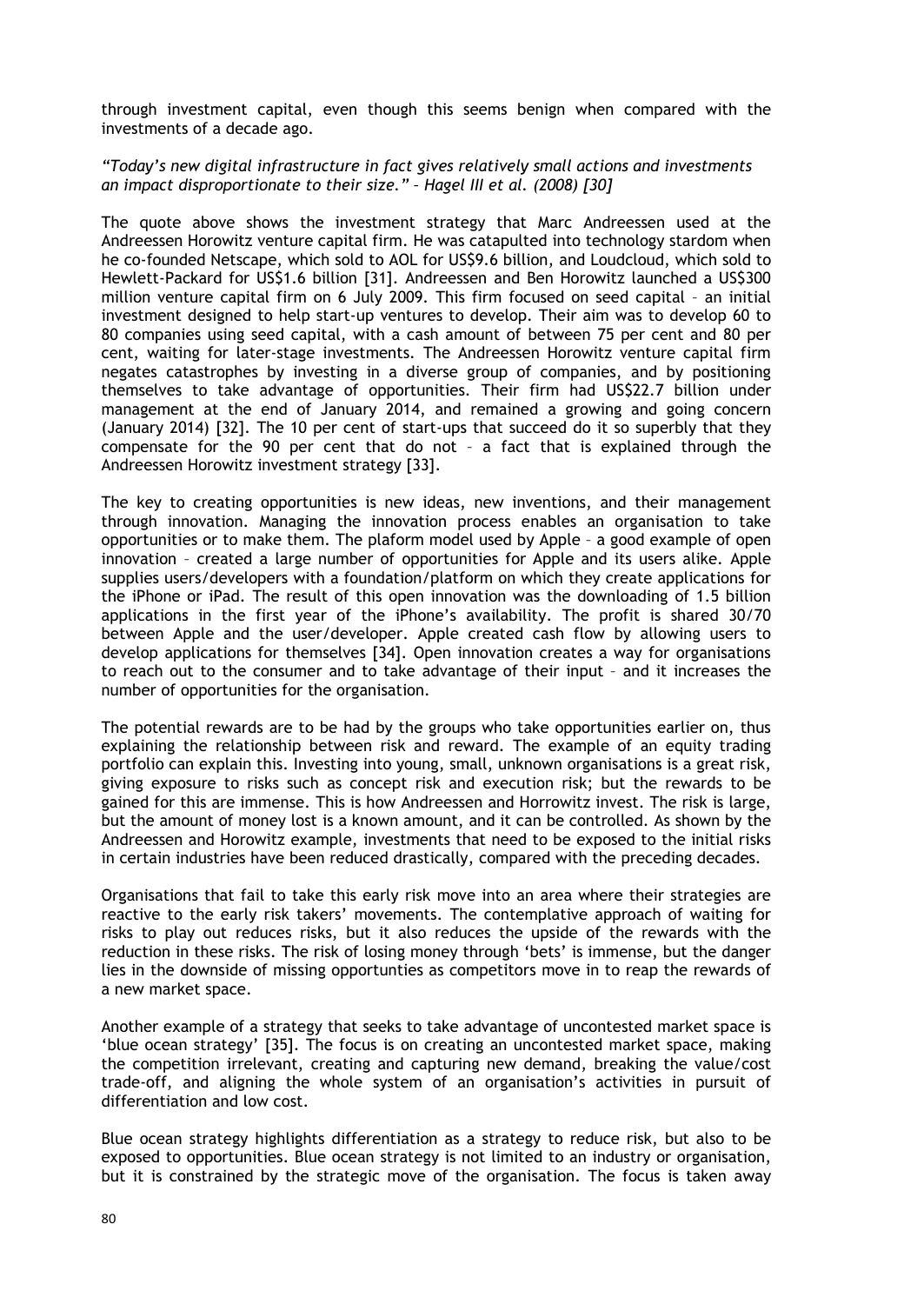through investment capital, even though this seems benign when compared with the investments of a decade ago.

#### *"Today's new digital infrastructure in fact gives relatively small actions and investments an impact disproportionate to their size." – Hagel III et al. (2008) [30]*

The quote above shows the investment strategy that Marc Andreessen used at the Andreessen Horowitz venture capital firm. He was catapulted into technology stardom when he co-founded Netscape, which sold to AOL for US\$9.6 billion, and Loudcloud, which sold to Hewlett-Packard for US\$1.6 billion [31]. Andreessen and Ben Horowitz launched a US\$300 million venture capital firm on 6 July 2009. This firm focused on seed capital – an initial investment designed to help start-up ventures to develop. Their aim was to develop 60 to 80 companies using seed capital, with a cash amount of between 75 per cent and 80 per cent, waiting for later-stage investments. The Andreessen Horowitz venture capital firm negates catastrophes by investing in a diverse group of companies, and by positioning themselves to take advantage of opportunities. Their firm had US\$22.7 billion under management at the end of January 2014, and remained a growing and going concern (January 2014) [32]. The 10 per cent of start-ups that succeed do it so superbly that they compensate for the 90 per cent that do not – a fact that is explained through the Andreessen Horowitz investment strategy [33].

The key to creating opportunities is new ideas, new inventions, and their management through innovation. Managing the innovation process enables an organisation to take opportunities or to make them. The plaform model used by Apple – a good example of open innovation – created a large number of opportunities for Apple and its users alike. Apple supplies users/developers with a foundation/platform on which they create applications for the iPhone or iPad. The result of this open innovation was the downloading of 1.5 billion applications in the first year of the iPhone's availability. The profit is shared 30/70 between Apple and the user/developer. Apple created cash flow by allowing users to develop applications for themselves [34]. Open innovation creates a way for organisations to reach out to the consumer and to take advantage of their input – and it increases the number of opportunities for the organisation.

The potential rewards are to be had by the groups who take opportunities earlier on, thus explaining the relationship between risk and reward. The example of an equity trading portfolio can explain this. Investing into young, small, unknown organisations is a great risk, giving exposure to risks such as concept risk and execution risk; but the rewards to be gained for this are immense. This is how Andreessen and Horrowitz invest. The risk is large, but the amount of money lost is a known amount, and it can be controlled. As shown by the Andreessen and Horowitz example, investments that need to be exposed to the initial risks in certain industries have been reduced drastically, compared with the preceding decades.

Organisations that fail to take this early risk move into an area where their strategies are reactive to the early risk takers' movements. The contemplative approach of waiting for risks to play out reduces risks, but it also reduces the upside of the rewards with the reduction in these risks. The risk of losing money through 'bets' is immense, but the danger lies in the downside of missing opportunties as competitors move in to reap the rewards of a new market space.

Another example of a strategy that seeks to take advantage of uncontested market space is 'blue ocean strategy' [35]. The focus is on creating an uncontested market space, making the competition irrelevant, creating and capturing new demand, breaking the value/cost trade-off, and aligning the whole system of an organisation's activities in pursuit of differentiation and low cost.

Blue ocean strategy highlights differentiation as a strategy to reduce risk, but also to be exposed to opportunities. Blue ocean strategy is not limited to an industry or organisation, but it is constrained by the strategic move of the organisation. The focus is taken away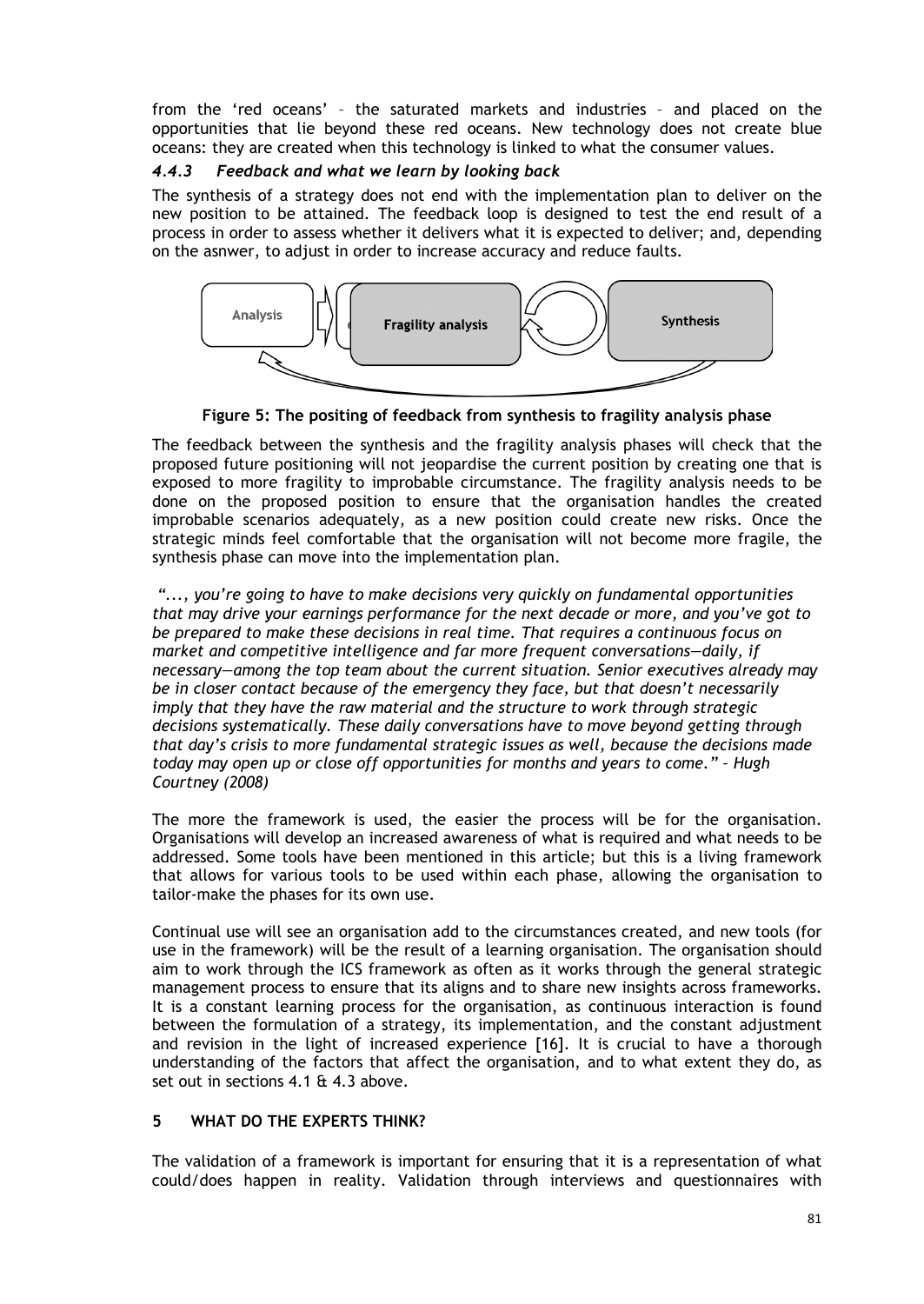from the 'red oceans' – the saturated markets and industries – and placed on the opportunities that lie beyond these red oceans. New technology does not create blue oceans: they are created when this technology is linked to what the consumer values.

# *4.4.3 Feedback and what we learn by looking back*

The synthesis of a strategy does not end with the implementation plan to deliver on the new position to be attained. The feedback loop is designed to test the end result of a process in order to assess whether it delivers what it is expected to deliver; and, depending on the asnwer, to adjust in order to increase accuracy and reduce faults.



**Figure 5: The positing of feedback from synthesis to fragility analysis phase**

The feedback between the synthesis and the fragility analysis phases will check that the proposed future positioning will not jeopardise the current position by creating one that is exposed to more fragility to improbable circumstance. The fragility analysis needs to be done on the proposed position to ensure that the organisation handles the created improbable scenarios adequately, as a new position could create new risks. Once the strategic minds feel comfortable that the organisation will not become more fragile, the synthesis phase can move into the implementation plan.

*"..., you're going to have to make decisions very quickly on fundamental opportunities that may drive your earnings performance for the next decade or more, and you've got to be prepared to make these decisions in real time. That requires a continuous focus on market and competitive intelligence and far more frequent conversations—daily, if necessary—among the top team about the current situation. Senior executives already may be in closer contact because of the emergency they face, but that doesn't necessarily imply that they have the raw material and the structure to work through strategic decisions systematically. These daily conversations have to move beyond getting through that day's crisis to more fundamental strategic issues as well, because the decisions made today may open up or close off opportunities for months and years to come." – Hugh Courtney (2008)*

The more the framework is used, the easier the process will be for the organisation. Organisations will develop an increased awareness of what is required and what needs to be addressed. Some tools have been mentioned in this article; but this is a living framework that allows for various tools to be used within each phase, allowing the organisation to tailor-make the phases for its own use.

Continual use will see an organisation add to the circumstances created, and new tools (for use in the framework) will be the result of a learning organisation. The organisation should aim to work through the ICS framework as often as it works through the general strategic management process to ensure that its aligns and to share new insights across frameworks. It is a constant learning process for the organisation, as continuous interaction is found between the formulation of a strategy, its implementation, and the constant adjustment and revision in the light of increased experience [16]. It is crucial to have a thorough understanding of the factors that affect the organisation, and to what extent they do, as set out in sections 4.1 & 4.3 above.

# <span id="page-13-0"></span>**5 WHAT DO THE EXPERTS THINK?**

The validation of a framework is important for ensuring that it is a representation of what could/does happen in reality. Validation through interviews and questionnaires with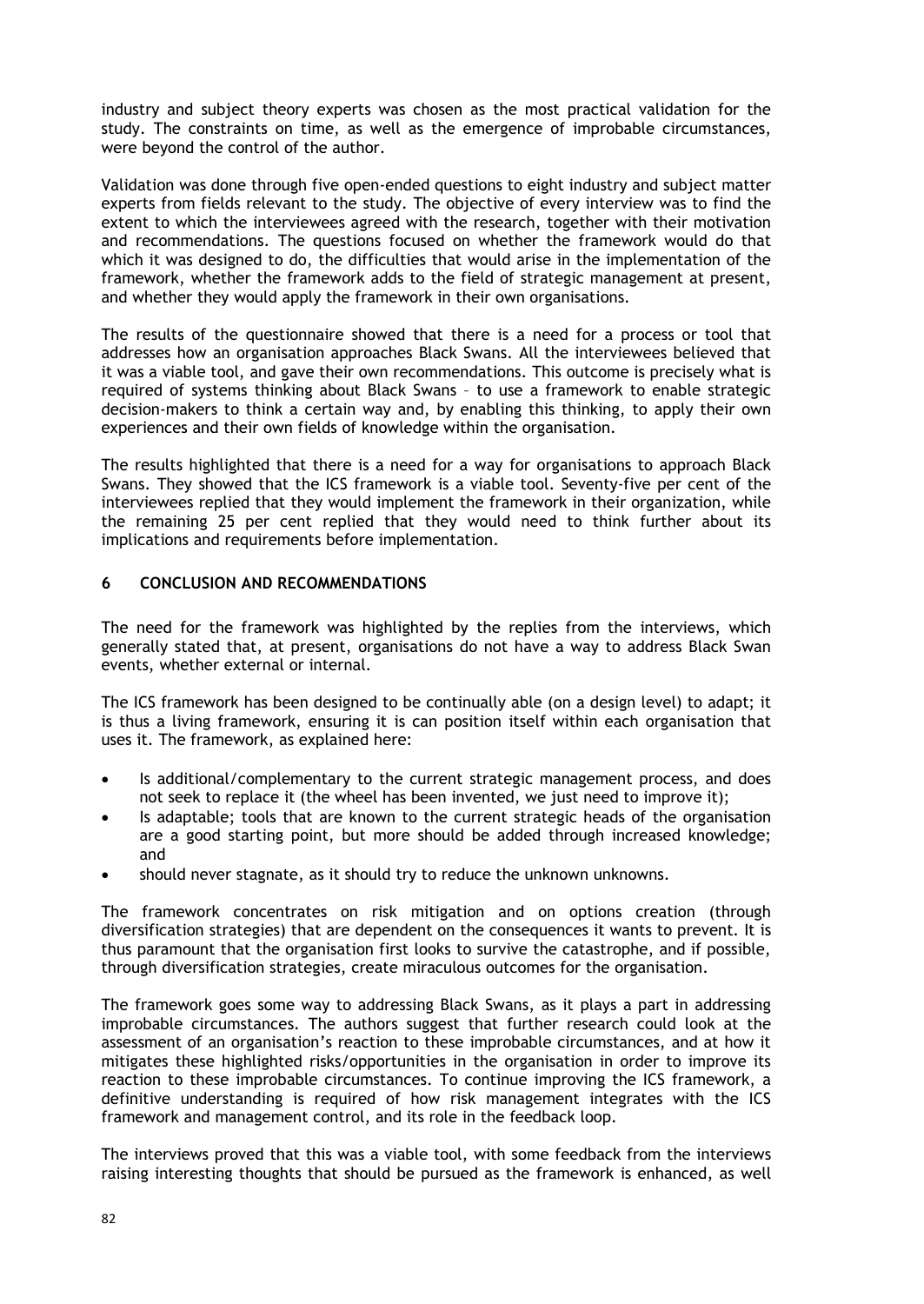industry and subject theory experts was chosen as the most practical validation for the study. The constraints on time, as well as the emergence of improbable circumstances, were beyond the control of the author.

Validation was done through five open-ended questions to eight industry and subject matter experts from fields relevant to the study. The objective of every interview was to find the extent to which the interviewees agreed with the research, together with their motivation and recommendations. The questions focused on whether the framework would do that which it was designed to do, the difficulties that would arise in the implementation of the framework, whether the framework adds to the field of strategic management at present, and whether they would apply the framework in their own organisations.

The results of the questionnaire showed that there is a need for a process or tool that addresses how an organisation approaches Black Swans. All the interviewees believed that it was a viable tool, and gave their own recommendations. This outcome is precisely what is required of systems thinking about Black Swans – to use a framework to enable strategic decision-makers to think a certain way and, by enabling this thinking, to apply their own experiences and their own fields of knowledge within the organisation.

The results highlighted that there is a need for a way for organisations to approach Black Swans. They showed that the ICS framework is a viable tool. Seventy-five per cent of the interviewees replied that they would implement the framework in their organization, while the remaining 25 per cent replied that they would need to think further about its implications and requirements before implementation.

### **6 CONCLUSION AND RECOMMENDATIONS**

The need for the framework was highlighted by the replies from the interviews, which generally stated that, at present, organisations do not have a way to address Black Swan events, whether external or internal.

The ICS framework has been designed to be continually able (on a design level) to adapt; it is thus a living framework, ensuring it is can position itself within each organisation that uses it. The framework, as explained here:

- Is additional/complementary to the current strategic management process, and does not seek to replace it (the wheel has been invented, we just need to improve it);
- Is adaptable; tools that are known to the current strategic heads of the organisation are a good starting point, but more should be added through increased knowledge; and
- should never stagnate, as it should try to reduce the unknown unknowns.

The framework concentrates on risk mitigation and on options creation (through diversification strategies) that are dependent on the consequences it wants to prevent. It is thus paramount that the organisation first looks to survive the catastrophe, and if possible, through diversification strategies, create miraculous outcomes for the organisation.

The framework goes some way to addressing Black Swans, as it plays a part in addressing improbable circumstances. The authors suggest that further research could look at the assessment of an organisation's reaction to these improbable circumstances, and at how it mitigates these highlighted risks/opportunities in the organisation in order to improve its reaction to these improbable circumstances. To continue improving the ICS framework, a definitive understanding is required of how risk management integrates with the ICS framework and management control, and its role in the feedback loop.

The interviews proved that this was a viable tool, with some feedback from the interviews raising interesting thoughts that should be pursued as the framework is enhanced, as well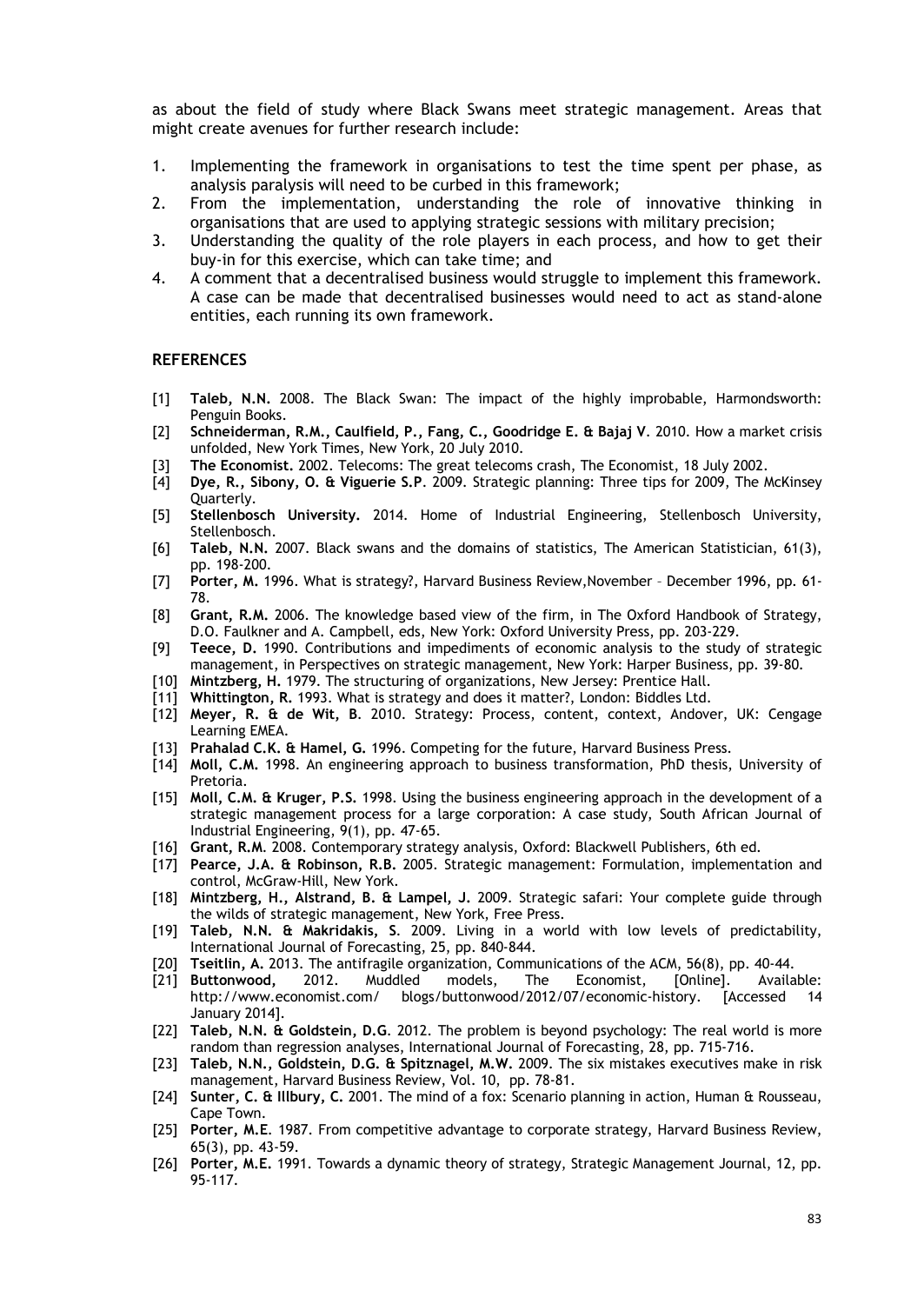as about the field of study where Black Swans meet strategic management. Areas that might create avenues for further research include:

- 1. Implementing the framework in organisations to test the time spent per phase, as analysis paralysis will need to be curbed in this framework;
- 2. From the implementation, understanding the role of innovative thinking in organisations that are used to applying strategic sessions with military precision;
- 3. Understanding the quality of the role players in each process, and how to get their buy-in for this exercise, which can take time; and
- 4. A comment that a decentralised business would struggle to implement this framework. A case can be made that decentralised businesses would need to act as stand-alone entities, each running its own framework.

#### **REFERENCES**

- [1] **Taleb, N.N.** 2008. The Black Swan: The impact of the highly improbable, Harmondsworth: Penguin Books.
- [2] **Schneiderman, R.M., Caulfield, P., Fang, C., Goodridge E. & Bajaj V**. 2010. How a market crisis unfolded, New York Times, New York, 20 July 2010.
- [3] **The Economist.** 2002. Telecoms: The great telecoms crash, The Economist, 18 July 2002.
- [4] **Dye, R., Sibony, O. & Viguerie S.P**. 2009. Strategic planning: Three tips for 2009, The McKinsey Quarterly.
- [5] **Stellenbosch University.** 2014. Home of Industrial Engineering, Stellenbosch University, Stellenbosch.
- [6] **Taleb, N.N.** 2007. Black swans and the domains of statistics, The American Statistician, 61(3), pp. 198-200.
- [7] **Porter, M.** 1996. What is strategy?, Harvard Business Review,November December 1996, pp. 61- 78.
- [8] **Grant, R.M.** 2006. The knowledge based view of the firm, in The Oxford Handbook of Strategy, D.O. Faulkner and A. Campbell, eds, New York: Oxford University Press, pp. 203-229.
- [9] **Teece, D.** 1990. Contributions and impediments of economic analysis to the study of strategic management, in Perspectives on strategic management, New York: Harper Business, pp. 39-80.
- [10] **Mintzberg, H.** 1979. The structuring of organizations, New Jersey: Prentice Hall.
- [11] **Whittington, R.** 1993. What is strategy and does it matter?, London: Biddles Ltd.
- [12] **Meyer, R. & de Wit, B**. 2010. Strategy: Process, content, context, Andover, UK: Cengage Learning EMEA.
- [13] **Prahalad C.K. & Hamel, G.** 1996. Competing for the future, Harvard Business Press.
- [14] **Moll, C.M.** 1998. An engineering approach to business transformation, PhD thesis, University of Pretoria.
- [15] **Moll, C.M. & Kruger, P.S.** 1998. Using the business engineering approach in the development of a strategic management process for a large corporation: A case study, South African Journal of Industrial Engineering, 9(1), pp. 47-65.
- [16] **Grant, R.M**. 2008. Contemporary strategy analysis, Oxford: Blackwell Publishers, 6th ed.
- [17] **Pearce, J.A. & Robinson, R.B.** 2005. Strategic management: Formulation, implementation and control, McGraw-Hill, New York.
- [18] **Mintzberg, H., Alstrand, B. & Lampel, J.** 2009. Strategic safari: Your complete guide through the wilds of strategic management, New York, Free Press.
- [19] **Taleb, N.N. & Makridakis, S**. 2009. Living in a world with low levels of predictability, International Journal of Forecasting, 25, pp. 840-844.
- [20] **Tseitlin, A.** 2013. The antifragile organization, Communications of the ACM, 56(8), pp. 40-44.
- [21] **Buttonwood,** 2012. Muddled models, The Economist, [Online]. Available: http://www.economist.com/ blogs/buttonwood/2012/07/economic-history. [Accessed 14 January 2014].
- [22] **Taleb, N.N. & Goldstein, D.G**. 2012. The problem is beyond psychology: The real world is more random than regression analyses, International Journal of Forecasting, 28, pp. 715-716.
- [23] **Taleb, N.N., Goldstein, D.G. & Spitznagel, M.W.** 2009. The six mistakes executives make in risk management, Harvard Business Review, Vol. 10, pp. 78-81.
- [24] **Sunter, C. & Illbury, C.** 2001. The mind of a fox: Scenario planning in action, Human & Rousseau, Cape Town.
- [25] **Porter, M.E**. 1987. From competitive advantage to corporate strategy, Harvard Business Review, 65(3), pp. 43-59.
- [26] **Porter, M.E.** 1991. Towards a dynamic theory of strategy, Strategic Management Journal, 12, pp. 95-117.